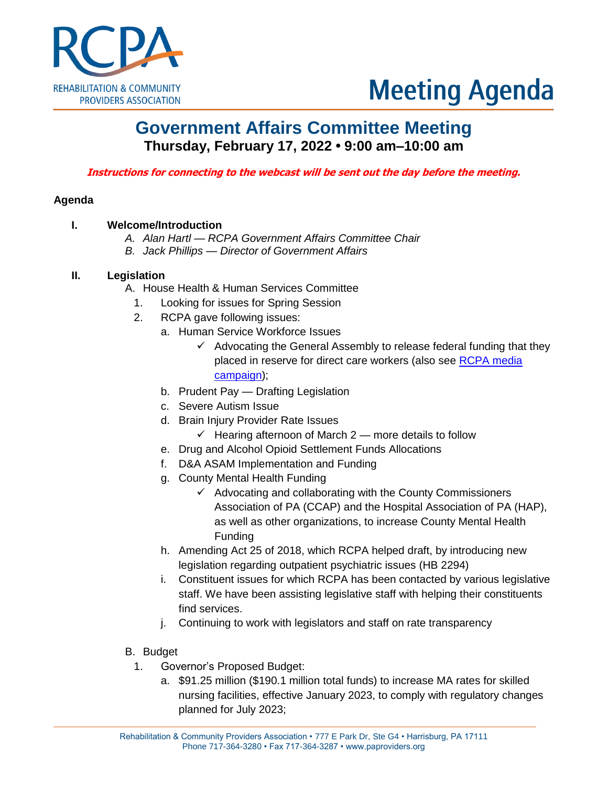

# **Meeting Agenda**

# **Government Affairs Committee Meeting Thursday, February 17, 2022 • 9:00 am–10:00 am**

**Instructions for connecting to the webcast will be sent out the day before the meeting.**

# **Agenda**

# **I. Welcome/Introduction**

- *A. Alan Hartl — RCPA Government Affairs Committee Chair*
- *B. Jack Phillips — Director of Government Affairs*

### **II. Legislation**

- A. House Health & Human Services Committee
	- 1. Looking for issues for Spring Session
	- 2. RCPA gave following issues:
		- a. Human Service Workforce Issues
			- $\checkmark$  Advocating the General Assembly to release federal funding that they placed in reserve for direct care workers (also see RCPA media [campaign\)](https://www.paproviders.org/wp-content/uploads/2022/02/Release_Lawmakers-Must-Address-Workforce-Crisis_2.9.21_FINAL.pdf);
		- b. Prudent Pay Drafting Legislation
		- c. Severe Autism Issue
		- d. Brain Injury Provider Rate Issues
			- $\checkmark$  Hearing afternoon of March 2 more details to follow
		- e. Drug and Alcohol Opioid Settlement Funds Allocations
		- f. D&A ASAM Implementation and Funding
		- g. County Mental Health Funding
			- $\checkmark$  Advocating and collaborating with the County Commissioners Association of PA (CCAP) and the Hospital Association of PA (HAP), as well as other organizations, to increase County Mental Health Funding
		- h. Amending Act 25 of 2018, which RCPA helped draft, by introducing new legislation regarding outpatient psychiatric issues (HB 2294)
		- i. Constituent issues for which RCPA has been contacted by various legislative staff. We have been assisting legislative staff with helping their constituents find services.
		- j. Continuing to work with legislators and staff on rate transparency
- B. Budget
	- 1. Governor's Proposed Budget:
		- a. \$91.25 million (\$190.1 million total funds) to increase MA rates for skilled nursing facilities, effective January 2023, to comply with regulatory changes planned for July 2023;